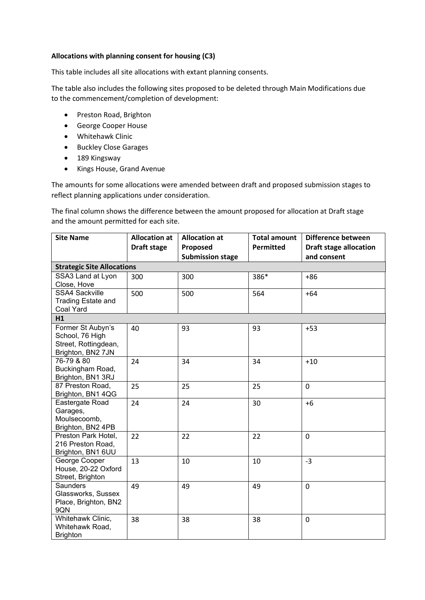## **Allocations with planning consent for housing (C3)**

This table includes all site allocations with extant planning consents.

The table also includes the following sites proposed to be deleted through Main Modifications due to the commencement/completion of development:

- Preston Road, Brighton
- George Cooper House
- Whitehawk Clinic
- Buckley Close Garages
- 189 Kingsway
- Kings House, Grand Avenue

The amounts for some allocations were amended between draft and proposed submission stages to reflect planning applications under consideration.

The final column shows the difference between the amount proposed for allocation at Draft stage and the amount permitted for each site.

| <b>Site Name</b>                         | <b>Allocation at</b> | <b>Allocation at</b>    | <b>Total amount</b> | Difference between            |  |  |  |
|------------------------------------------|----------------------|-------------------------|---------------------|-------------------------------|--|--|--|
|                                          | Draft stage          | Proposed                | <b>Permitted</b>    | <b>Draft stage allocation</b> |  |  |  |
|                                          |                      | <b>Submission stage</b> |                     | and consent                   |  |  |  |
| <b>Strategic Site Allocations</b>        |                      |                         |                     |                               |  |  |  |
| SSA3 Land at Lyon                        | 300                  | 300                     | 386*                | $+86$                         |  |  |  |
| Close, Hove                              |                      |                         |                     |                               |  |  |  |
| <b>SSA4 Sackville</b>                    | 500                  | 500                     | 564                 | $+64$                         |  |  |  |
| Trading Estate and                       |                      |                         |                     |                               |  |  |  |
| Coal Yard                                |                      |                         |                     |                               |  |  |  |
| H1                                       |                      |                         |                     |                               |  |  |  |
| Former St Aubyn's                        | 40                   | 93                      | 93                  | $+53$                         |  |  |  |
| School, 76 High<br>Street, Rottingdean,  |                      |                         |                     |                               |  |  |  |
| Brighton, BN2 7JN                        |                      |                         |                     |                               |  |  |  |
| 76-79 & 80                               | 24                   | 34                      | 34                  | $+10$                         |  |  |  |
| Buckingham Road,                         |                      |                         |                     |                               |  |  |  |
| Brighton, BN1 3RJ                        |                      |                         |                     |                               |  |  |  |
| 87 Preston Road,                         | 25                   | 25                      | 25                  | 0                             |  |  |  |
| Brighton, BN1 4QG                        |                      |                         |                     |                               |  |  |  |
| Eastergate Road                          | 24                   | 24                      | 30                  | $+6$                          |  |  |  |
| Garages,                                 |                      |                         |                     |                               |  |  |  |
| Moulsecoomb,                             |                      |                         |                     |                               |  |  |  |
| Brighton, BN2 4PB                        |                      |                         |                     |                               |  |  |  |
| Preston Park Hotel,<br>216 Preston Road, | 22                   | 22                      | 22                  | 0                             |  |  |  |
| Brighton, BN1 6UU                        |                      |                         |                     |                               |  |  |  |
| George Cooper                            | 13                   | 10                      | 10                  | $-3$                          |  |  |  |
| House, 20-22 Oxford                      |                      |                         |                     |                               |  |  |  |
| Street, Brighton                         |                      |                         |                     |                               |  |  |  |
| <b>Saunders</b>                          | 49                   | 49                      | 49                  | 0                             |  |  |  |
| Glassworks, Sussex                       |                      |                         |                     |                               |  |  |  |
| Place, Brighton, BN2                     |                      |                         |                     |                               |  |  |  |
| 9QN                                      |                      |                         |                     |                               |  |  |  |
| Whitehawk Clinic,                        | 38                   | 38                      | 38                  | 0                             |  |  |  |
| Whitehawk Road,                          |                      |                         |                     |                               |  |  |  |
| <b>Brighton</b>                          |                      |                         |                     |                               |  |  |  |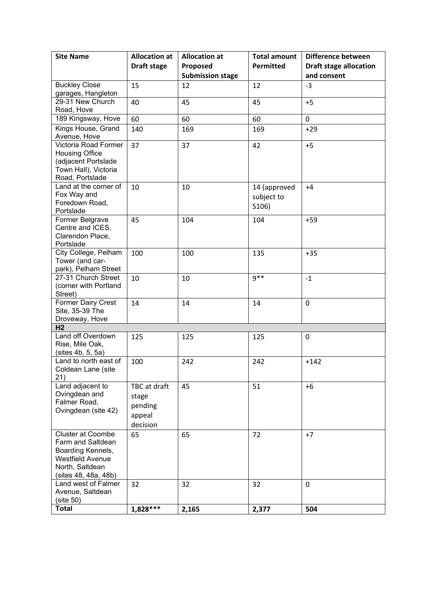| <b>Site Name</b>                              | <b>Allocation at</b> | <b>Allocation at</b>          | <b>Total amount</b> | Difference between                           |
|-----------------------------------------------|----------------------|-------------------------------|---------------------|----------------------------------------------|
|                                               | <b>Draft stage</b>   | Proposed                      | <b>Permitted</b>    | <b>Draft stage allocation</b><br>and consent |
| <b>Buckley Close</b>                          | 15                   | <b>Submission stage</b><br>12 | 12                  | $-3$                                         |
| garages, Hangleton                            |                      |                               |                     |                                              |
| 29-31 New Church                              | 40                   | 45                            | 45                  | $+5$                                         |
| Road, Hove                                    |                      |                               |                     |                                              |
| 189 Kingsway, Hove                            | 60                   | 60                            | 60                  | $\mathbf 0$                                  |
| Kings House, Grand<br>Avenue, Hove            | 140                  | 169                           | 169                 | $+29$                                        |
| Victoria Road Former<br><b>Housing Office</b> | 37                   | 37                            | 42                  | $+5$                                         |
| (adjacent Portslade                           |                      |                               |                     |                                              |
| Town Hall), Victoria<br>Road, Portslade       |                      |                               |                     |                                              |
| Land at the corner of                         | 10                   | 10                            | 14 (approved        | $+4$                                         |
| Fox Way and                                   |                      |                               | subject to          |                                              |
| Foredown Road,                                |                      |                               | S106)               |                                              |
| Portslade<br>Former Belgrave                  | 45                   | 104                           | 104                 | $+59$                                        |
| Centre and ICES,                              |                      |                               |                     |                                              |
| Clarendon Place,                              |                      |                               |                     |                                              |
| Portslade                                     |                      |                               |                     |                                              |
| City College, Pelham<br>Tower (and car-       | 100                  | 100                           | 135                 | $+35$                                        |
| park), Pelham Street                          |                      |                               |                     |                                              |
| 27-31 Church Street                           | 10                   | 10                            | $9**$               | $-1$                                         |
| (corner with Portland                         |                      |                               |                     |                                              |
| Street)<br>Former Dairy Crest                 | 14                   | 14                            | 14                  | $\mathbf 0$                                  |
| Site, 35-39 The                               |                      |                               |                     |                                              |
| Droveway, Hove                                |                      |                               |                     |                                              |
| H <sub>2</sub>                                |                      |                               |                     |                                              |
| Land off Overdown<br>Rise, Mile Oak,          | 125                  | 125                           | 125                 | $\mathbf 0$                                  |
| (sites 4b, 5, 5a)                             |                      |                               |                     |                                              |
| Land to north east of                         | 100                  | 242                           | 242                 | $+142$                                       |
| Coldean Lane (site                            |                      |                               |                     |                                              |
| 21)<br>Land adjacent to                       | TBC at draft         | 45                            | 51                  | $+6$                                         |
| Ovingdean and                                 | stage                |                               |                     |                                              |
| Falmer Road,                                  | pending              |                               |                     |                                              |
| Ovingdean (site 42)                           | appeal               |                               |                     |                                              |
|                                               | decision             |                               |                     |                                              |
| <b>Cluster at Coombe</b>                      | 65                   | 65                            | 72                  | $+7$                                         |
| Farm and Saltdean                             |                      |                               |                     |                                              |
| Boarding Kennels,<br><b>Westfield Avenue</b>  |                      |                               |                     |                                              |
| North, Saltdean                               |                      |                               |                     |                                              |
| (sites 48, 48a, 48b)                          |                      |                               |                     |                                              |
| Land west of Falmer                           | 32                   | 32                            | 32                  | $\mathbf 0$                                  |
| Avenue, Saltdean<br>(site 50)                 |                      |                               |                     |                                              |
| <b>Total</b>                                  | 1,828***             | 2,165                         | 2,377               | 504                                          |